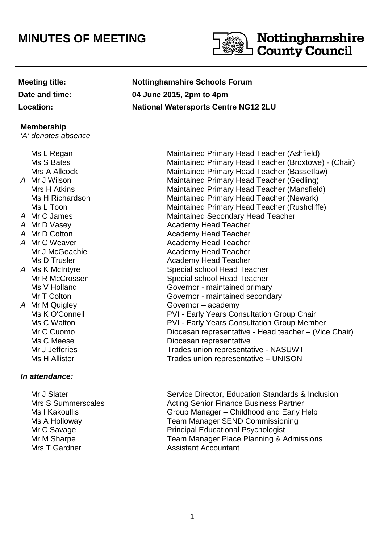# **MINUTES OF MEETING**



### **Membership**

'A' denotes absence

# **In attendance:**

 Mrs S Summerscales Ms I Kakoullis Ms A Holloway Mr C Savage Mr M Sharpe Mrs T Gardner **Assistant Accountant** 

**Meeting title: Nottinghamshire Schools Forum Date and time: 04 June 2015, 2pm to 4pm Location: National Watersports Centre NG12 2LU**

Ms L Regan Maintained Primary Head Teacher (Ashfield)<br>Ms S Bates Maintained Primary Head Teacher (Broxtowe Maintained Primary Head Teacher (Broxtowe) - (Chair) Mrs A Allcock Maintained Primary Head Teacher (Bassetlaw) A Mr J Wilson Maintained Primary Head Teacher (Gedling) Mrs H Atkins Maintained Primary Head Teacher (Mansfield) Ms H Richardson Maintained Primary Head Teacher (Newark) Ms L Toon Maintained Primary Head Teacher (Rushcliffe) A Mr C James **Maintained Secondary Head Teacher** A Mr D Vasey **Academy Head Teacher** A Mr D Cotton **Academy Head Teacher**<br>
A Mr C Weaver **Academy Head Teacher** Academy Head Teacher Mr J McGeachie **Academy Head Teacher** Ms D Trusler **Academy Head Teacher** Academy Head Teacher A Ms K McIntyre Special school Head Teacher Mr R McCrossen Special school Head Teacher Ms V Holland Governor - maintained primary Mr T Colton Governor - maintained secondary A Mr M Quigley Governor – academy Ms K O'Connell **National PVI** - Early Years Consultation Group Chair Ms C Walton **Matter Consultation Croup Member** PVI - Early Years Consultation Group Member Mr C Cuomo **Diocesan representative - Head teacher – (Vice Chair)** Ms C Meese **Diocesan** representative Mr J Jefferies Trades union representative - NASUWT Ms H Allister Trades union representative – UNISON

Mr J Slater Service Director, Education Standards & Inclusion Acting Senior Finance Business Partner Group Manager – Childhood and Early Help Team Manager SEND Commissioning Principal Educational Psychologist Team Manager Place Planning & Admissions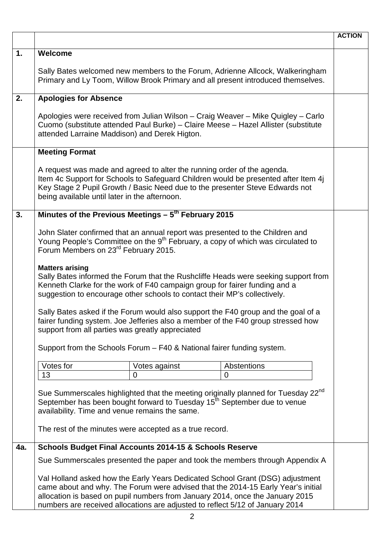|     |                                                                                                                                                                                                                                                                                                                                     | <b>ACTION</b> |
|-----|-------------------------------------------------------------------------------------------------------------------------------------------------------------------------------------------------------------------------------------------------------------------------------------------------------------------------------------|---------------|
| 1.  | Welcome                                                                                                                                                                                                                                                                                                                             |               |
|     | Sally Bates welcomed new members to the Forum, Adrienne Allcock, Walkeringham<br>Primary and Ly Toom, Willow Brook Primary and all present introduced themselves.                                                                                                                                                                   |               |
| 2.  | <b>Apologies for Absence</b>                                                                                                                                                                                                                                                                                                        |               |
|     | Apologies were received from Julian Wilson - Craig Weaver - Mike Quigley - Carlo<br>Cuomo (substitute attended Paul Burke) - Claire Meese - Hazel Allister (substitute<br>attended Larraine Maddison) and Derek Higton.                                                                                                             |               |
|     | <b>Meeting Format</b>                                                                                                                                                                                                                                                                                                               |               |
|     | A request was made and agreed to alter the running order of the agenda.<br>Item 4c Support for Schools to Safeguard Children would be presented after Item 4j<br>Key Stage 2 Pupil Growth / Basic Need due to the presenter Steve Edwards not<br>being available until later in the afternoon.                                      |               |
| 3.  | Minutes of the Previous Meetings $-5^{th}$ February 2015                                                                                                                                                                                                                                                                            |               |
|     | John Slater confirmed that an annual report was presented to the Children and<br>Young People's Committee on the 9 <sup>th</sup> February, a copy of which was circulated to<br>Forum Members on 23 <sup>rd</sup> February 2015.                                                                                                    |               |
|     | <b>Matters arising</b><br>Sally Bates informed the Forum that the Rushcliffe Heads were seeking support from<br>Kenneth Clarke for the work of F40 campaign group for fairer funding and a<br>suggestion to encourage other schools to contact their MP's collectively.                                                             |               |
|     | Sally Bates asked if the Forum would also support the F40 group and the goal of a<br>fairer funding system. Joe Jefferies also a member of the F40 group stressed how<br>support from all parties was greatly appreciated                                                                                                           |               |
|     | Support from the Schools Forum - F40 & National fairer funding system.                                                                                                                                                                                                                                                              |               |
|     | Votes for<br>Abstentions<br>Votes against                                                                                                                                                                                                                                                                                           |               |
|     | 13<br>$\overline{0}$<br>$\overline{0}$                                                                                                                                                                                                                                                                                              |               |
|     | Sue Summerscales highlighted that the meeting originally planned for Tuesday 22 <sup>nd</sup><br>September has been bought forward to Tuesday 15 <sup>th</sup> September due to venue<br>availability. Time and venue remains the same.<br>The rest of the minutes were accepted as a true record.                                  |               |
| 4a. | <b>Schools Budget Final Accounts 2014-15 &amp; Schools Reserve</b>                                                                                                                                                                                                                                                                  |               |
|     | Sue Summerscales presented the paper and took the members through Appendix A                                                                                                                                                                                                                                                        |               |
|     | Val Holland asked how the Early Years Dedicated School Grant (DSG) adjustment<br>came about and why. The Forum were advised that the 2014-15 Early Year's initial<br>allocation is based on pupil numbers from January 2014, once the January 2015<br>numbers are received allocations are adjusted to reflect 5/12 of January 2014 |               |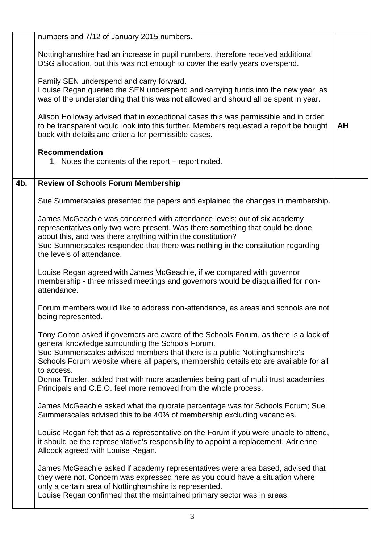|     | numbers and 7/12 of January 2015 numbers.                                                                                                                                                                                                                                                                                                |    |
|-----|------------------------------------------------------------------------------------------------------------------------------------------------------------------------------------------------------------------------------------------------------------------------------------------------------------------------------------------|----|
|     | Nottinghamshire had an increase in pupil numbers, therefore received additional<br>DSG allocation, but this was not enough to cover the early years overspend.                                                                                                                                                                           |    |
|     | <b>Family SEN underspend and carry forward.</b><br>Louise Regan queried the SEN underspend and carrying funds into the new year, as<br>was of the understanding that this was not allowed and should all be spent in year.                                                                                                               |    |
|     | Alison Holloway advised that in exceptional cases this was permissible and in order<br>to be transparent would look into this further. Members requested a report be bought<br>back with details and criteria for permissible cases.                                                                                                     | AH |
|     | <b>Recommendation</b><br>1. Notes the contents of the report – report noted.                                                                                                                                                                                                                                                             |    |
| 4b. | <b>Review of Schools Forum Membership</b>                                                                                                                                                                                                                                                                                                |    |
|     | Sue Summerscales presented the papers and explained the changes in membership.                                                                                                                                                                                                                                                           |    |
|     | James McGeachie was concerned with attendance levels; out of six academy<br>representatives only two were present. Was there something that could be done<br>about this, and was there anything within the constitution?<br>Sue Summerscales responded that there was nothing in the constitution regarding<br>the levels of attendance. |    |
|     | Louise Regan agreed with James McGeachie, if we compared with governor<br>membership - three missed meetings and governors would be disqualified for non-<br>attendance.                                                                                                                                                                 |    |
|     | Forum members would like to address non-attendance, as areas and schools are not<br>being represented.                                                                                                                                                                                                                                   |    |
|     | Tony Colton asked if governors are aware of the Schools Forum, as there is a lack of<br>general knowledge surrounding the Schools Forum.<br>Sue Summerscales advised members that there is a public Nottinghamshire's<br>Schools Forum website where all papers, membership details etc are available for all<br>to access.              |    |
|     | Donna Trusler, added that with more academies being part of multi trust academies,<br>Principals and C.E.O. feel more removed from the whole process.                                                                                                                                                                                    |    |
|     | James McGeachie asked what the quorate percentage was for Schools Forum; Sue<br>Summerscales advised this to be 40% of membership excluding vacancies.                                                                                                                                                                                   |    |
|     | Louise Regan felt that as a representative on the Forum if you were unable to attend,<br>it should be the representative's responsibility to appoint a replacement. Adrienne<br>Allcock agreed with Louise Regan.                                                                                                                        |    |
|     | James McGeachie asked if academy representatives were area based, advised that<br>they were not. Concern was expressed here as you could have a situation where<br>only a certain area of Nottinghamshire is represented.<br>Louise Regan confirmed that the maintained primary sector was in areas.                                     |    |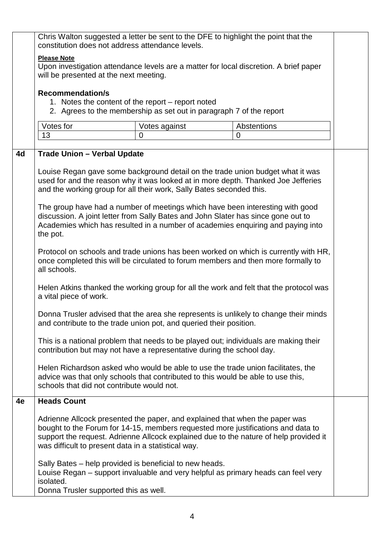|    | Chris Walton suggested a letter be sent to the DFE to highlight the point that the<br>constitution does not address attendance levels.                                                                                                                                                                                                                                                                                                                                                                                                                                                                                                                                                                                                          |               |                                                                                      |  |
|----|-------------------------------------------------------------------------------------------------------------------------------------------------------------------------------------------------------------------------------------------------------------------------------------------------------------------------------------------------------------------------------------------------------------------------------------------------------------------------------------------------------------------------------------------------------------------------------------------------------------------------------------------------------------------------------------------------------------------------------------------------|---------------|--------------------------------------------------------------------------------------|--|
|    | <b>Please Note</b><br>Upon investigation attendance levels are a matter for local discretion. A brief paper<br>will be presented at the next meeting.                                                                                                                                                                                                                                                                                                                                                                                                                                                                                                                                                                                           |               |                                                                                      |  |
|    | <b>Recommendation/s</b><br>1. Notes the content of the report – report noted<br>2. Agrees to the membership as set out in paragraph 7 of the report                                                                                                                                                                                                                                                                                                                                                                                                                                                                                                                                                                                             |               |                                                                                      |  |
|    | Votes for                                                                                                                                                                                                                                                                                                                                                                                                                                                                                                                                                                                                                                                                                                                                       | Votes against | Abstentions                                                                          |  |
|    | 13                                                                                                                                                                                                                                                                                                                                                                                                                                                                                                                                                                                                                                                                                                                                              | 0             | $\Omega$                                                                             |  |
| 4d | <b>Trade Union - Verbal Update</b><br>Louise Regan gave some background detail on the trade union budget what it was                                                                                                                                                                                                                                                                                                                                                                                                                                                                                                                                                                                                                            |               |                                                                                      |  |
|    | used for and the reason why it was looked at in more depth. Thanked Joe Jefferies<br>and the working group for all their work, Sally Bates seconded this.                                                                                                                                                                                                                                                                                                                                                                                                                                                                                                                                                                                       |               |                                                                                      |  |
|    | The group have had a number of meetings which have been interesting with good<br>discussion. A joint letter from Sally Bates and John Slater has since gone out to<br>Academies which has resulted in a number of academies enquiring and paying into<br>the pot.<br>Protocol on schools and trade unions has been worked on which is currently with HR,<br>once completed this will be circulated to forum members and then more formally to<br>all schools.<br>Helen Atkins thanked the working group for all the work and felt that the protocol was<br>a vital piece of work.<br>Donna Trusler advised that the area she represents is unlikely to change their minds<br>and contribute to the trade union pot, and queried their position. |               |                                                                                      |  |
|    |                                                                                                                                                                                                                                                                                                                                                                                                                                                                                                                                                                                                                                                                                                                                                 |               |                                                                                      |  |
|    |                                                                                                                                                                                                                                                                                                                                                                                                                                                                                                                                                                                                                                                                                                                                                 |               |                                                                                      |  |
|    |                                                                                                                                                                                                                                                                                                                                                                                                                                                                                                                                                                                                                                                                                                                                                 |               |                                                                                      |  |
|    | contribution but may not have a representative during the school day.                                                                                                                                                                                                                                                                                                                                                                                                                                                                                                                                                                                                                                                                           |               | This is a national problem that needs to be played out; individuals are making their |  |
|    | Helen Richardson asked who would be able to use the trade union facilitates, the<br>advice was that only schools that contributed to this would be able to use this,<br>schools that did not contribute would not.                                                                                                                                                                                                                                                                                                                                                                                                                                                                                                                              |               |                                                                                      |  |
| 4e | <b>Heads Count</b>                                                                                                                                                                                                                                                                                                                                                                                                                                                                                                                                                                                                                                                                                                                              |               |                                                                                      |  |
|    | Adrienne Allcock presented the paper, and explained that when the paper was<br>bought to the Forum for 14-15, members requested more justifications and data to<br>support the request. Adrienne Allcock explained due to the nature of help provided it<br>was difficult to present data in a statistical way.                                                                                                                                                                                                                                                                                                                                                                                                                                 |               |                                                                                      |  |
|    | Sally Bates - help provided is beneficial to new heads.<br>Louise Regan – support invaluable and very helpful as primary heads can feel very<br>isolated.<br>Donna Trusler supported this as well.                                                                                                                                                                                                                                                                                                                                                                                                                                                                                                                                              |               |                                                                                      |  |
|    |                                                                                                                                                                                                                                                                                                                                                                                                                                                                                                                                                                                                                                                                                                                                                 |               |                                                                                      |  |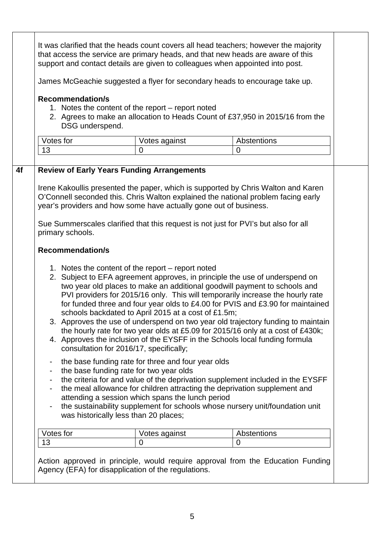| James McGeachie suggested a flyer for secondary heads to encourage take up. |                                            |                                                                                                                                                                                                                                                      |                                                                                                                                                                                                                                                                                                                                                                                                                                                                                                                                                                                                                                                                                                                                                   |  |
|-----------------------------------------------------------------------------|--------------------------------------------|------------------------------------------------------------------------------------------------------------------------------------------------------------------------------------------------------------------------------------------------------|---------------------------------------------------------------------------------------------------------------------------------------------------------------------------------------------------------------------------------------------------------------------------------------------------------------------------------------------------------------------------------------------------------------------------------------------------------------------------------------------------------------------------------------------------------------------------------------------------------------------------------------------------------------------------------------------------------------------------------------------------|--|
|                                                                             | <b>Recommendation/s</b><br>DSG underspend. | 1. Notes the content of the report – report noted                                                                                                                                                                                                    | 2. Agrees to make an allocation to Heads Count of £37,950 in 2015/16 from the                                                                                                                                                                                                                                                                                                                                                                                                                                                                                                                                                                                                                                                                     |  |
| Votes for                                                                   |                                            | Votes against                                                                                                                                                                                                                                        | Abstentions                                                                                                                                                                                                                                                                                                                                                                                                                                                                                                                                                                                                                                                                                                                                       |  |
| 13                                                                          |                                            | $\overline{0}$                                                                                                                                                                                                                                       | 0                                                                                                                                                                                                                                                                                                                                                                                                                                                                                                                                                                                                                                                                                                                                                 |  |
| primary schools.                                                            | <b>Recommendation/s</b>                    | year's providers and how some have actually gone out of business.                                                                                                                                                                                    | Irene Kakoullis presented the paper, which is supported by Chris Walton and Karen<br>O'Connell seconded this. Chris Walton explained the national problem facing early<br>Sue Summerscales clarified that this request is not just for PVI's but also for all                                                                                                                                                                                                                                                                                                                                                                                                                                                                                     |  |
|                                                                             |                                            | 1. Notes the content of the report – report noted<br>schools backdated to April 2015 at a cost of £1.5m;<br>consultation for 2016/17, specifically;<br>the base funding rate for three and four year olds<br>the base funding rate for two year olds | 2. Subject to EFA agreement approves, in principle the use of underspend on<br>two year old places to make an additional goodwill payment to schools and<br>PVI providers for 2015/16 only. This will temporarily increase the hourly rate<br>for funded three and four year olds to £4.00 for PVIS and £3.90 for maintained<br>3. Approves the use of underspend on two year old trajectory funding to maintain<br>the hourly rate for two year olds at £5.09 for 2015/16 only at a cost of £430k;<br>4. Approves the inclusion of the EYSFF in the Schools local funding formula<br>the criteria for and value of the deprivation supplement included in the EYSFF<br>the meal allowance for children attracting the deprivation supplement and |  |
| $\blacksquare$<br>$\blacksquare$<br>۰<br>$\overline{\phantom{a}}$           |                                            | attending a session which spans the lunch period<br>was historically less than 20 places;                                                                                                                                                            | the sustainability supplement for schools whose nursery unit/foundation unit                                                                                                                                                                                                                                                                                                                                                                                                                                                                                                                                                                                                                                                                      |  |
| Votes for                                                                   |                                            | Votes against                                                                                                                                                                                                                                        | Abstentions                                                                                                                                                                                                                                                                                                                                                                                                                                                                                                                                                                                                                                                                                                                                       |  |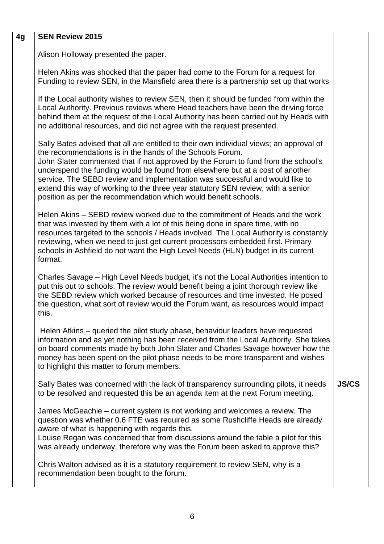| 4g | <b>SEN Review 2015</b>                                                                                                                                                                                                                                                                                                                                                                                                                                                                                                                                            |              |
|----|-------------------------------------------------------------------------------------------------------------------------------------------------------------------------------------------------------------------------------------------------------------------------------------------------------------------------------------------------------------------------------------------------------------------------------------------------------------------------------------------------------------------------------------------------------------------|--------------|
|    | Alison Holloway presented the paper.                                                                                                                                                                                                                                                                                                                                                                                                                                                                                                                              |              |
|    | Helen Akins was shocked that the paper had come to the Forum for a request for<br>Funding to review SEN, in the Mansfield area there is a partnership set up that works                                                                                                                                                                                                                                                                                                                                                                                           |              |
|    | If the Local authority wishes to review SEN, then it should be funded from within the<br>Local Authority. Previous reviews where Head teachers have been the driving force<br>behind them at the request of the Local Authority has been carried out by Heads with<br>no additional resources, and did not agree with the request presented.                                                                                                                                                                                                                      |              |
|    | Sally Bates advised that all are entitled to their own individual views; an approval of<br>the recommendations is in the hands of the Schools Forum.<br>John Slater commented that if not approved by the Forum to fund from the school's<br>underspend the funding would be found from elsewhere but at a cost of another<br>service. The SEBD review and implementation was successful and would like to<br>extend this way of working to the three year statutory SEN review, with a senior<br>position as per the recommendation which would benefit schools. |              |
|    | Helen Akins – SEBD review worked due to the commitment of Heads and the work<br>that was invested by them with a lot of this being done in spare time, with no<br>resources targeted to the schools / Heads involved. The Local Authority is constantly<br>reviewing, when we need to just get current processors embedded first. Primary<br>schools in Ashfield do not want the High Level Needs (HLN) budget in its current<br>format.                                                                                                                          |              |
|    | Charles Savage – High Level Needs budget, it's not the Local Authorities intention to<br>put this out to schools. The review would benefit being a joint thorough review like<br>the SEBD review which worked because of resources and time invested. He posed<br>the question, what sort of review would the Forum want, as resources would impact<br>this.                                                                                                                                                                                                      |              |
|    | Helen Atkins – queried the pilot study phase, behaviour leaders have requested<br>information and as yet nothing has been received from the Local Authority. She takes<br>on board comments made by both John Slater and Charles Savage however how the<br>money has been spent on the pilot phase needs to be more transparent and wishes<br>to highlight this matter to forum members.                                                                                                                                                                          |              |
|    | Sally Bates was concerned with the lack of transparency surrounding pilots, it needs<br>to be resolved and requested this be an agenda item at the next Forum meeting.                                                                                                                                                                                                                                                                                                                                                                                            | <b>JS/CS</b> |
|    | James McGeachie – current system is not working and welcomes a review. The<br>question was whether 0.6 FTE was required as some Rushcliffe Heads are already<br>aware of what is happening with regards this.<br>Louise Regan was concerned that from discussions around the table a pilot for this<br>was already underway, therefore why was the Forum been asked to approve this?                                                                                                                                                                              |              |
|    | Chris Walton advised as it is a statutory requirement to review SEN, why is a<br>recommendation been bought to the forum.                                                                                                                                                                                                                                                                                                                                                                                                                                         |              |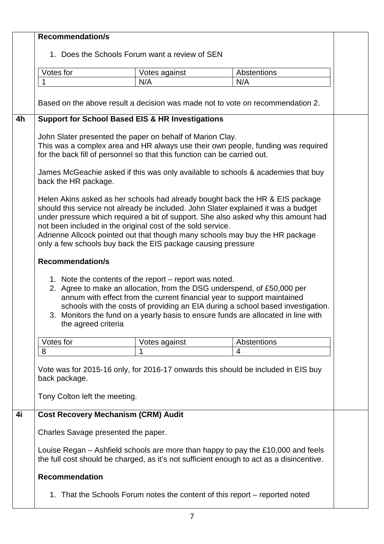|    | <b>Recommendation/s</b>                                                                                                                                                                                                                                                                                                                                                                                                                                                  |               |             |  |
|----|--------------------------------------------------------------------------------------------------------------------------------------------------------------------------------------------------------------------------------------------------------------------------------------------------------------------------------------------------------------------------------------------------------------------------------------------------------------------------|---------------|-------------|--|
|    | 1. Does the Schools Forum want a review of SEN                                                                                                                                                                                                                                                                                                                                                                                                                           |               |             |  |
|    |                                                                                                                                                                                                                                                                                                                                                                                                                                                                          |               |             |  |
|    | Votes for                                                                                                                                                                                                                                                                                                                                                                                                                                                                | Votes against | Abstentions |  |
|    |                                                                                                                                                                                                                                                                                                                                                                                                                                                                          | N/A           | N/A         |  |
|    |                                                                                                                                                                                                                                                                                                                                                                                                                                                                          |               |             |  |
|    | Based on the above result a decision was made not to vote on recommendation 2.                                                                                                                                                                                                                                                                                                                                                                                           |               |             |  |
| 4h | <b>Support for School Based EIS &amp; HR Investigations</b>                                                                                                                                                                                                                                                                                                                                                                                                              |               |             |  |
|    | John Slater presented the paper on behalf of Marion Clay.                                                                                                                                                                                                                                                                                                                                                                                                                |               |             |  |
|    | This was a complex area and HR always use their own people, funding was required                                                                                                                                                                                                                                                                                                                                                                                         |               |             |  |
|    | for the back fill of personnel so that this function can be carried out.                                                                                                                                                                                                                                                                                                                                                                                                 |               |             |  |
|    | James McGeachie asked if this was only available to schools & academies that buy<br>back the HR package.                                                                                                                                                                                                                                                                                                                                                                 |               |             |  |
|    | Helen Akins asked as her schools had already bought back the HR & EIS package<br>should this service not already be included. John Slater explained it was a budget<br>under pressure which required a bit of support. She also asked why this amount had<br>not been included in the original cost of the sold service.<br>Adrienne Allcock pointed out that though many schools may buy the HR package<br>only a few schools buy back the EIS package causing pressure |               |             |  |
|    | <b>Recommendation/s</b>                                                                                                                                                                                                                                                                                                                                                                                                                                                  |               |             |  |
|    | 1. Note the contents of the report – report was noted.<br>2. Agree to make an allocation, from the DSG underspend, of £50,000 per<br>annum with effect from the current financial year to support maintained<br>schools with the costs of providing an EIA during a school based investigation.<br>3. Monitors the fund on a yearly basis to ensure funds are allocated in line with<br>the agreed criteria                                                              |               |             |  |
|    | Votes for                                                                                                                                                                                                                                                                                                                                                                                                                                                                | Votes against | Abstentions |  |
|    | 8                                                                                                                                                                                                                                                                                                                                                                                                                                                                        | 1             | 4           |  |
|    | Vote was for 2015-16 only, for 2016-17 onwards this should be included in EIS buy<br>back package.<br>Tony Colton left the meeting.                                                                                                                                                                                                                                                                                                                                      |               |             |  |
| 4i | <b>Cost Recovery Mechanism (CRM) Audit</b>                                                                                                                                                                                                                                                                                                                                                                                                                               |               |             |  |
|    | Charles Savage presented the paper.                                                                                                                                                                                                                                                                                                                                                                                                                                      |               |             |  |
|    | Louise Regan – Ashfield schools are more than happy to pay the £10,000 and feels<br>the full cost should be charged, as it's not sufficient enough to act as a disincentive.                                                                                                                                                                                                                                                                                             |               |             |  |
|    | <b>Recommendation</b>                                                                                                                                                                                                                                                                                                                                                                                                                                                    |               |             |  |
|    | 1. That the Schools Forum notes the content of this report – reported noted                                                                                                                                                                                                                                                                                                                                                                                              |               |             |  |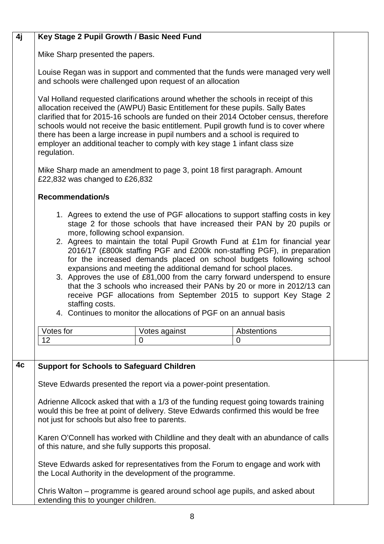# **4j Key Stage 2 Pupil Growth / Basic Need Fund**

Mike Sharp presented the papers.

Louise Regan was in support and commented that the funds were managed very well and schools were challenged upon request of an allocation

Val Holland requested clarifications around whether the schools in receipt of this allocation received the (AWPU) Basic Entitlement for these pupils. Sally Bates clarified that for 2015-16 schools are funded on their 2014 October census, therefore schools would not receive the basic entitlement. Pupil growth fund is to cover where there has been a large increase in pupil numbers and a school is required to employer an additional teacher to comply with key stage 1 infant class size regulation.

Mike Sharp made an amendment to page 3, point 18 first paragraph. Amount £22,832 was changed to £26,832

# **Recommendation/s**

- 1. Agrees to extend the use of PGF allocations to support staffing costs in key stage 2 for those schools that have increased their PAN by 20 pupils or more, following school expansion.
- 2. Agrees to maintain the total Pupil Growth Fund at £1m for financial year 2016/17 (£800k staffing PGF and £200k non-staffing PGF), in preparation for the increased demands placed on school budgets following school expansions and meeting the additional demand for school places.
- 3. Approves the use of £81,000 from the carry forward underspend to ensure that the 3 schools who increased their PANs by 20 or more in 2012/13 can receive PGF allocations from September 2015 to support Key Stage 2 staffing costs.
- 4. Continues to monitor the allocations of PGF on an annual basis

| Votes for | Votes against | Abstentions<br>⊶ |  |
|-----------|---------------|------------------|--|
|           |               |                  |  |

# **4c Support for Schools to Safeguard Children**

Steve Edwards presented the report via a power-point presentation.

Adrienne Allcock asked that with a 1/3 of the funding request going towards training would this be free at point of delivery. Steve Edwards confirmed this would be free not just for schools but also free to parents.

Karen O'Connell has worked with Childline and they dealt with an abundance of calls of this nature, and she fully supports this proposal.

Steve Edwards asked for representatives from the Forum to engage and work with the Local Authority in the development of the programme.

Chris Walton – programme is geared around school age pupils, and asked about extending this to younger children.